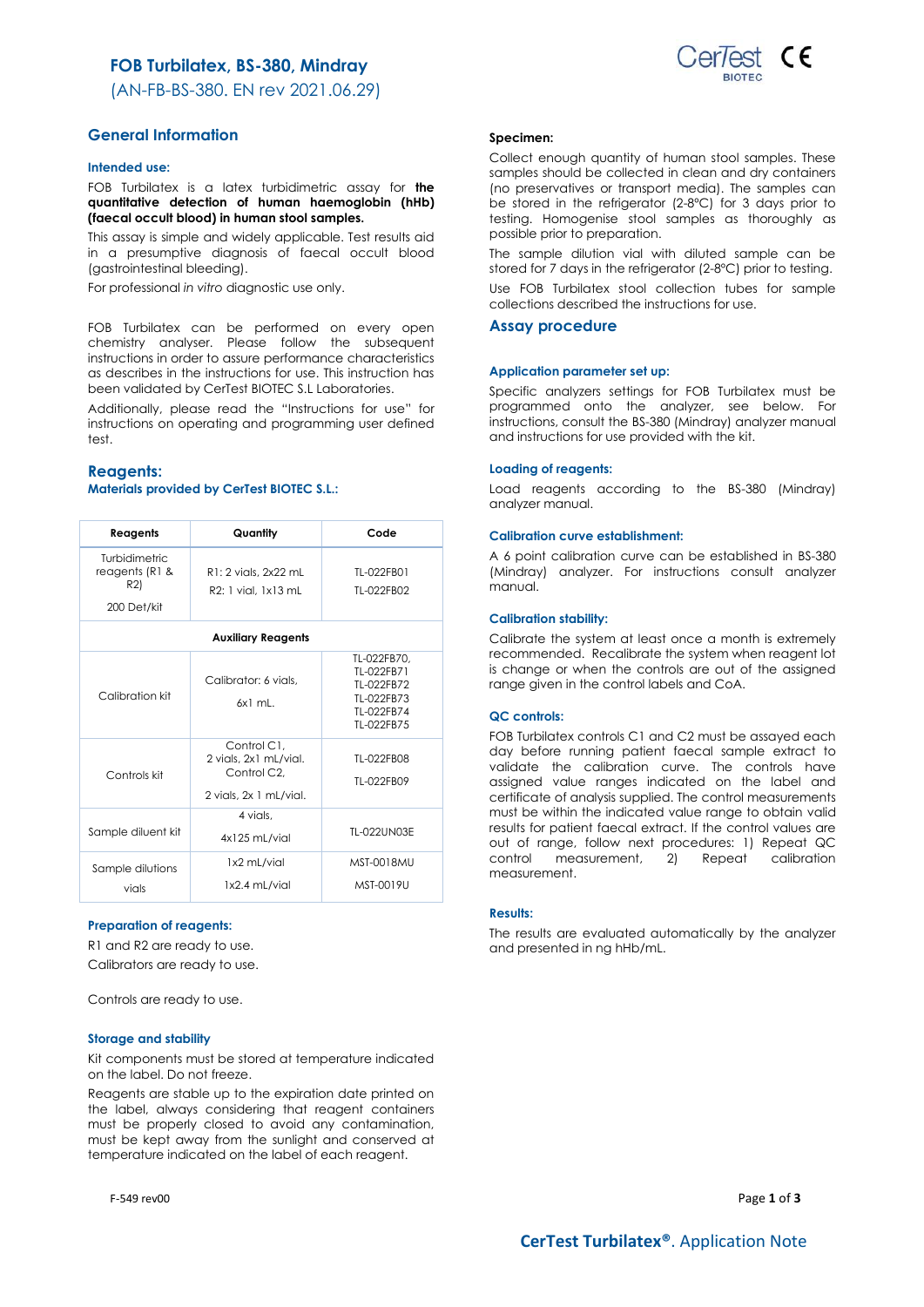# **FOB Turbilatex, BS-380, Mindray**

(AN-FB-BS-380. EN rev 2021.06.29)

## **General Information**

### **Intended use:**

FOB Turbilatex is a latex turbidimetric assay for **the quantitative detection of human haemoglobin (hHb) (faecal occult blood) in human stool samples.**

This assay is simple and widely applicable. Test results aid in a presumptive diagnosis of faecal occult blood (gastrointestinal bleeding).

For professional *in vitro* diagnostic use only.

FOB Turbilatex can be performed on every open chemistry analyser. Please follow the subsequent instructions in order to assure performance characteristics as describes in the instructions for use. This instruction has been validated by CerTest BIOTEC S.L Laboratories.

Additionally, please read the "Instructions for use" for instructions on operating and programming user defined test.

## **Reagents:**

## **Materials provided by CerTest BIOTEC S.L.:**

| Reagents                                              | Quantity                                                                                 | Code                                                                              |
|-------------------------------------------------------|------------------------------------------------------------------------------------------|-----------------------------------------------------------------------------------|
| Turbidimetric<br>reagents (R1 &<br>R2)<br>200 Det/kit | R1: 2 vials, 2x22 mL<br>R2: 1 vial, 1x13 mL                                              | TL-022FB01<br>TL-022FB02                                                          |
|                                                       | <b>Auxiliary Reagents</b>                                                                |                                                                                   |
| Calibration kit                                       | Calibrator: 6 vials.<br>$6x1$ mL.                                                        | TL-022FB70.<br>TL-022FB71<br>TL-022FB72<br>TL-022FB73<br>TL-022FB74<br>TL-022FB75 |
| Controls kit                                          | Control C1.<br>2 vials, 2x1 mL/vial.<br>Control C <sub>2</sub><br>2 vials, 2x 1 mL/vial. | TL-022FB08<br>TL-022FB09                                                          |
| Sample diluent kit                                    | 4 vials.<br>$4x125$ mL/vial                                                              | TL-022UN03E                                                                       |
| Sample dilutions<br>vials                             | 1x2 mL/vial<br>1x2.4 mL/vial                                                             | MST-0018MU<br>MST-0019U                                                           |

### **Preparation of reagents:**

R1 and R2 are ready to use. Calibrators are ready to use.

Controls are ready to use.

#### **Storage and stability**

Kit components must be stored at temperature indicated on the label. Do not freeze.

Reagents are stable up to the expiration date printed on the label, always considering that reagent containers must be properly closed to avoid any contamination, must be kept away from the sunlight and conserved at temperature indicated on the label of each reagent.



#### **Specimen:**

Collect enough quantity of human stool samples. These samples should be collected in clean and dry containers (no preservatives or transport media). The samples can be stored in the refrigerator (2-8ºC) for 3 days prior to testing. Homogenise stool samples as thoroughly as possible prior to preparation.

The sample dilution vial with diluted sample can be stored for 7 days in the refrigerator (2-8ºC) prior to testing.

Use FOB Turbilatex stool collection tubes for sample collections described the instructions for use.

## **Assay procedure**

## **Application parameter set up:**

Specific analyzers settings for FOB Turbilatex must be programmed onto the analyzer, see below. For instructions, consult the BS-380 (Mindray) analyzer manual and instructions for use provided with the kit.

#### **Loading of reagents:**

Load reagents according to the BS-380 (Mindray) analyzer manual.

#### **Calibration curve establishment:**

A 6 point calibration curve can be established in BS-380 (Mindray) analyzer. For instructions consult analyzer manual.

### **Calibration stability:**

Calibrate the system at least once a month is extremely recommended. Recalibrate the system when reagent lot is change or when the controls are out of the assigned range given in the control labels and CoA.

#### **QC controls:**

FOB Turbilatex controls C1 and C2 must be assayed each day before running patient faecal sample extract to validate the calibration curve. The controls have assigned value ranges indicated on the label and certificate of analysis supplied. The control measurements must be within the indicated value range to obtain valid results for patient faecal extract. If the control values are out of range, follow next procedures: 1) Repeat QC control measurement, 2) Repeat calibration measurement.

#### **Results:**

The results are evaluated automatically by the analyzer and presented in ng hHb/mL.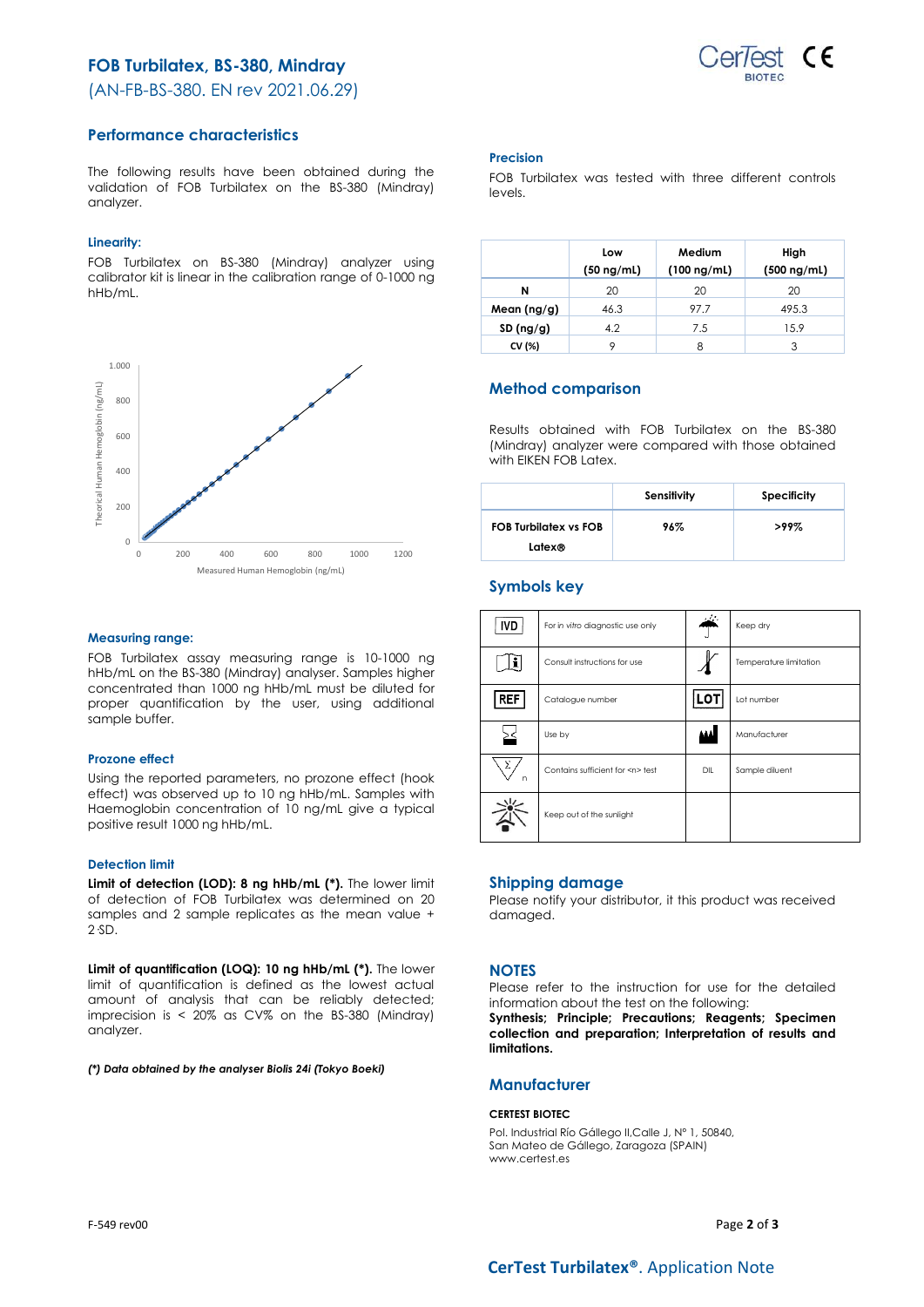# **FOB Turbilatex, BS-380, Mindray**

(AN-FB-BS-380. EN rev 2021.06.29)



## **Performance characteristics**

The following results have been obtained during the validation of FOB Turbilatex on the BS-380 (Mindray) analyzer.

## **Linearity:**

FOB Turbilatex on BS-380 (Mindray) analyzer using calibrator kit is linear in the calibration range of 0-1000 ng hHb/mL.



### **Measuring range:**

FOB Turbilatex assay measuring range is 10-1000 ng hHb/mL on the BS-380 (Mindray) analyser. Samples higher concentrated than 1000 ng hHb/mL must be diluted for proper quantification by the user, using additional sample buffer.

### **Prozone effect**

Using the reported parameters, no prozone effect (hook effect) was observed up to 10 ng hHb/mL. Samples with Haemoglobin concentration of 10 ng/mL give a typical positive result 1000 ng hHb/mL.

### **Detection limit**

**Limit of detection (LOD): 8 ng hHb/mL (\*).** The lower limit of detection of FOB Turbilatex was determined on 20 samples and 2 sample replicates as the mean value + 2·SD.

**Limit of quantification (LOQ): 10 ng hHb/mL (\*).** The lower limit of quantification is defined as the lowest actual amount of analysis that can be reliably detected; imprecision is < 20% as CV% on the BS-380 (Mindray) analyzer.

*(\*) Data obtained by the analyser Biolis 24i (Tokyo Boeki)*

## **Precision**

FOB Turbilatex was tested with three different controls levels.

|               | Low<br>$(50 \nmid mL)$ | Medium<br>$(100 \nmid m/L)$ | High<br>$(500 \nmid mL)$ |
|---------------|------------------------|-----------------------------|--------------------------|
| N             | 20                     | 20                          | 20                       |
| Mean $(ng/g)$ | 46.3                   | 97.7                        | 495.3                    |
| SD(ng/g)      | 4.2                    | 7.5                         | 15.9                     |
| CV (%)        | Q                      | 8                           |                          |

## **Method comparison**

Results obtained with FOB Turbilatex on the BS-380 (Mindray) analyzer were compared with those obtained with EIKEN FOB Latex.

|                                        | Sensitivity | <b>Specificity</b> |
|----------------------------------------|-------------|--------------------|
| <b>FOB Turbilatex vs FOB</b><br>Latex® | 96%         | $>99\%$            |

## **Symbols key**

| <b>IVD</b> | For in vitro diagnostic use only     | al la | Keep dry               |
|------------|--------------------------------------|-------|------------------------|
|            | Consult instructions for use         |       | Temperature limitation |
| <b>REF</b> | Catalogue number                     | LOT   | Lot number             |
|            | Use by                               | AAA   | Manufacturer           |
| Σ<br>n     | Contains sufficient for <n> test</n> | DIL   | Sample diluent         |
|            | Keep out of the sunlight             |       |                        |

## **Shipping damage**

Please notify your distributor, it this product was received damaged.

## **NOTES**

Please refer to the instruction for use for the detailed information about the test on the following:

**Synthesis; Principle; Precautions; Reagents; Specimen collection and preparation; Interpretation of results and limitations.**

## **Manufacturer**

### **CERTEST BIOTEC**

Pol. Industrial Río Gállego II,Calle J, Nº 1, 50840, San Mateo de Gállego, Zaragoza (SPAIN) www.certest.es

F-549 rev00 Page **2** of **3**